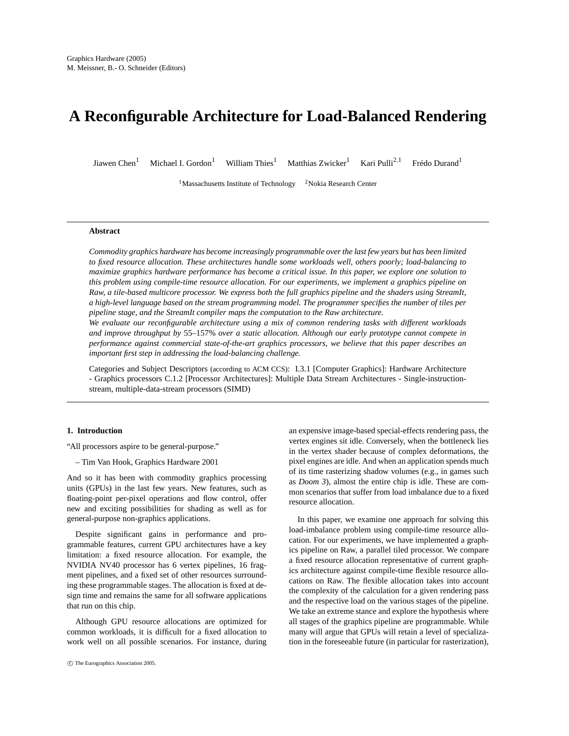# **A Reconfigurable Architecture for Load-Balanced Rendering**

Jiawen Chen<sup>1</sup> Michael I. Gordon<sup>1</sup> William Thies<sup>1</sup> Matthias Zwicker<sup>1</sup> Kari Pulli<sup>2,1</sup> Frédo Durand<sup>1</sup>

<sup>1</sup>Massachusetts Institute of Technology  $2N$ okia Research Center

## **Abstract**

*Commodity graphics hardware has become increasingly programmable over the last few years but has been limited to fixed resource allocation. These architectures handle some workloads well, others poorly; load-balancing to* maximize graphics hardware performance has become a critical issue. In this paper, we explore one solution to *this problem using compile-time resource allocation. For our experiments, we implement a graphics pipeline on* Raw, a tile-based multicore processor. We express both the full graphics pipeline and the shaders using StreamIt, a high-level language based on the stream programming model. The programmer specifies the number of tiles per *pipeline stage, and the StreamIt compiler maps the computation to the Raw architecture.*

*We evaluate our reconfigurable architecture using a mix of common rendering tasks with different workloads and improve throughput by* 55*–*157% *over a static allocation. Although our early prototype cannot compete in performance against commercial state-of-the-art graphics processors, we believe that this paper describes an important first step in addressing the load-balancing challenge.*

Categories and Subject Descriptors (according to ACM CCS): I.3.1 [Computer Graphics]: Hardware Architecture - Graphics processors C.1.2 [Processor Architectures]: Multiple Data Stream Architectures - Single-instructionstream, multiple-data-stream processors (SIMD)

#### **1. Introduction**

"All processors aspire to be general-purpose."

– Tim Van Hook, Graphics Hardware 2001

And so it has been with commodity graphics processing units (GPUs) in the last few years. New features, such as floating-point per-pixel operations and flow control, offer new and exciting possibilities for shading as well as for general-purpose non-graphics applications.

Despite significant gains in performance and programmable features, current GPU architectures have a key limitation: a fixed resource allocation. For example, the NVIDIA NV40 processor has 6 vertex pipelines, 16 fragment pipelines, and a fixed set of other resources surrounding these programmable stages. The allocation is fixed at design time and remains the same for all software applications that run on this chip.

Although GPU resource allocations are optimized for common workloads, it is difficult for a fixed allocation to work well on all possible scenarios. For instance, during

an expensive image-based special-effects rendering pass, the vertex engines sit idle. Conversely, when the bottleneck lies in the vertex shader because of complex deformations, the pixel engines are idle. And when an application spends much of its time rasterizing shadow volumes (e.g., in games such as *Doom 3*), almost the entire chip is idle. These are common scenarios that suffer from load imbalance due to a fixed resource allocation.

In this paper, we examine one approach for solving this load-imbalance problem using compile-time resource allocation. For our experiments, we have implemented a graphics pipeline on Raw, a parallel tiled processor. We compare a fixed resource allocation representative of current graphics architecture against compile-time flexible resource allocations on Raw. The flexible allocation takes into account the complexity of the calculation for a given rendering pass and the respective load on the various stages of the pipeline. We take an extreme stance and explore the hypothesis where all stages of the graphics pipeline are programmable. While many will argue that GPUs will retain a level of specialization in the foreseeable future (in particular for rasterization),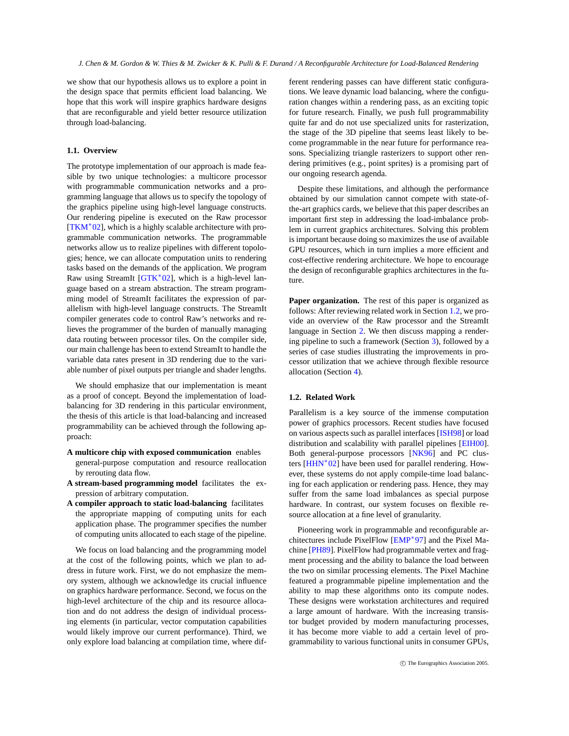<span id="page-1-1"></span>we show that our hypothesis allows us to explore a point in the design space that permits efficient load balancing. We hope that this work will inspire graphics hardware designs that are reconfigurable and yield better resource utilization through load-balancing.

# **1.1. Overview**

The prototype implementation of our approach is made feasible by two unique technologies: a multicore processor with programmable communication networks and a programming language that allows us to specify the topology of the graphics pipeline using high-level language constructs. Our rendering pipeline is executed on the Raw processor [\[TKM](#page-9-0)<sup>∗</sup> 02], which is a highly scalable architecture with programmable communication networks. The programmable networks allow us to realize pipelines with different topologies; hence, we can allocate computation units to rendering tasks based on the demands of the application. We program Raw using StreamIt [\[GTK](#page-9-1)<sup>\*</sup>02], which is a high-level language based on a stream abstraction. The stream programming model of StreamIt facilitates the expression of parallelism with high-level language constructs. The StreamIt compiler generates code to control Raw's networks and relieves the programmer of the burden of manually managing data routing between processor tiles. On the compiler side, our main challenge has been to extend StreamIt to handle the variable data rates present in 3D rendering due to the variable number of pixel outputs per triangle and shader lengths.

We should emphasize that our implementation is meant as a proof of concept. Beyond the implementation of loadbalancing for 3D rendering in this particular environment, the thesis of this article is that load-balancing and increased programmability can be achieved through the following approach:

- **A multicore chip with exposed communication** enables general-purpose computation and resource reallocation by rerouting data flow.
- **A stream-based programming model** facilitates the expression of arbitrary computation.
- **A compiler approach to static load-balancing** facilitates the appropriate mapping of computing units for each application phase. The programmer specifies the number of computing units allocated to each stage of the pipeline.

We focus on load balancing and the programming model at the cost of the following points, which we plan to address in future work. First, we do not emphasize the memory system, although we acknowledge its crucial influence on graphics hardware performance. Second, we focus on the high-level architecture of the chip and its resource allocation and do not address the design of individual processing elements (in particular, vector computation capabilities would likely improve our current performance). Third, we only explore load balancing at compilation time, where different rendering passes can have different static configurations. We leave dynamic load balancing, where the configuration changes within a rendering pass, as an exciting topic for future research. Finally, we push full programmability quite far and do not use specialized units for rasterization, the stage of the 3D pipeline that seems least likely to become programmable in the near future for performance reasons. Specializing triangle rasterizers to support other rendering primitives (e.g., point sprites) is a promising part of our ongoing research agenda.

Despite these limitations, and although the performance obtained by our simulation cannot compete with state-ofthe-art graphics cards, we believe that this paper describes an important first step in addressing the load-imbalance problem in current graphics architectures. Solving this problem is important because doing so maximizes the use of available GPU resources, which in turn implies a more efficient and cost-effective rendering architecture. We hope to encourage the design of reconfigurable graphics architectures in the future.

**Paper organization.** The rest of this paper is organized as follows: After reviewing related work in Section [1.2,](#page-1-0) we provide an overview of the Raw processor and the StreamIt language in Section [2.](#page-2-0) We then discuss mapping a rendering pipeline to such a framework (Section [3\)](#page-4-0), followed by a series of case studies illustrating the improvements in processor utilization that we achieve through flexible resource allocation (Section [4\)](#page-6-0).

# <span id="page-1-0"></span>**1.2. Related Work**

Parallelism is a key source of the immense computation power of graphics processors. Recent studies have focused on various aspects such as parallel interfaces [\[ISH98\]](#page-9-2) or load distribution and scalability with parallel pipelines [\[EIH00\]](#page-9-3). Both general-purpose processors [\[NK96\]](#page-9-4) and PC clus-ters [\[HHN](#page-9-5)<sup>\*</sup>02] have been used for parallel rendering. However, these systems do not apply compile-time load balancing for each application or rendering pass. Hence, they may suffer from the same load imbalances as special purpose hardware. In contrast, our system focuses on flexible resource allocation at a fine level of granularity.

Pioneering work in programmable and reconfigurable architectures include PixelFlow [\[EMP](#page-9-6)<sup>∗</sup> 97] and the Pixel Machine [\[PH89\]](#page-9-7). PixelFlow had programmable vertex and fragment processing and the ability to balance the load between the two on similar processing elements. The Pixel Machine featured a programmable pipeline implementation and the ability to map these algorithms onto its compute nodes. These designs were workstation architectures and required a large amount of hardware. With the increasing transistor budget provided by modern manufacturing processes, it has become more viable to add a certain level of programmability to various functional units in consumer GPUs,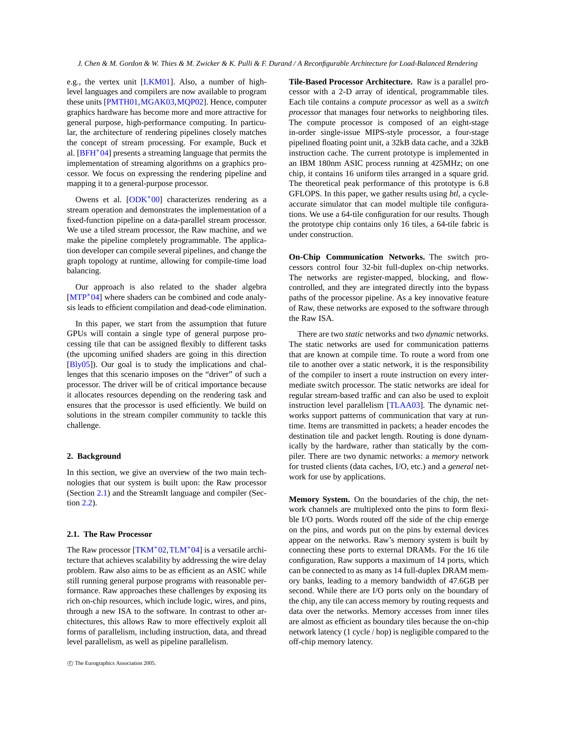<span id="page-2-2"></span>e.g., the vertex unit [\[LKM01\]](#page-9-8). Also, a number of highlevel languages and compilers are now available to program these units [\[PMTH01,](#page-9-9)[MGAK03,](#page-9-10)[MQP02\]](#page-9-11). Hence, computer graphics hardware has become more and more attractive for general purpose, high-performance computing. In particular, the architecture of rendering pipelines closely matches the concept of stream processing. For example, Buck et al. [\[BFH](#page-9-12)<sup>∗</sup> 04] presents a streaming language that permits the implementation of streaming algorithms on a graphics processor. We focus on expressing the rendering pipeline and mapping it to a general-purpose processor.

Owens et al. [\[ODK](#page-9-13)<sup>\*00</sup>] characterizes rendering as a stream operation and demonstrates the implementation of a fixed-function pipeline on a data-parallel stream processor. We use a tiled stream processor, the Raw machine, and we make the pipeline completely programmable. The application developer can compile several pipelines, and change the graph topology at runtime, allowing for compile-time load balancing.

Our approach is also related to the shader algebra [\[MTP](#page-9-14)<sup>∗</sup> 04] where shaders can be combined and code analysis leads to efficient compilation and dead-code elimination.

In this paper, we start from the assumption that future GPUs will contain a single type of general purpose processing tile that can be assigned flexibly to different tasks (the upcoming unified shaders are going in this direction [\[Bly05\]](#page-9-15)). Our goal is to study the implications and challenges that this scenario imposes on the "driver" of such a processor. The driver will be of critical importance because it allocates resources depending on the rendering task and ensures that the processor is used efficiently. We build on solutions in the stream compiler community to tackle this challenge.

## <span id="page-2-0"></span>**2. Background**

In this section, we give an overview of the two main technologies that our system is built upon: the Raw processor (Section [2.1\)](#page-2-1) and the StreamIt language and compiler (Section [2.2\)](#page-3-0).

## <span id="page-2-1"></span>**2.1. The Raw Processor**

The Raw processor [\[TKM](#page-9-0)<sup>\*</sup>02, TLM<sup>\*</sup>04] is a versatile architecture that achieves scalability by addressing the wire delay problem. Raw also aims to be as efficient as an ASIC while still running general purpose programs with reasonable performance. Raw approaches these challenges by exposing its rich on-chip resources, which include logic, wires, and pins, through a new ISA to the software. In contrast to other architectures, this allows Raw to more effectively exploit all forms of parallelism, including instruction, data, and thread level parallelism, as well as pipeline parallelism.

**Tile-Based Processor Architecture.** Raw is a parallel processor with a 2-D array of identical, programmable tiles. Each tile contains a *compute processor* as well as a *switch processor* that manages four networks to neighboring tiles. The compute processor is composed of an eight-stage in-order single-issue MIPS-style processor, a four-stage pipelined floating point unit, a 32kB data cache, and a 32kB instruction cache. The current prototype is implemented in an IBM 180nm ASIC process running at 425MHz; on one chip, it contains 16 uniform tiles arranged in a square grid. The theoretical peak performance of this prototype is 6.8 GFLOPS. In this paper, we gather results using *btl*, a cycleaccurate simulator that can model multiple tile configurations. We use a 64-tile configuration for our results. Though the prototype chip contains only 16 tiles, a 64-tile fabric is under construction.

**On-Chip Communication Networks.** The switch processors control four 32-bit full-duplex on-chip networks. The networks are register-mapped, blocking, and flowcontrolled, and they are integrated directly into the bypass paths of the processor pipeline. As a key innovative feature of Raw, these networks are exposed to the software through the Raw ISA.

There are two *static* networks and two *dynamic* networks. The static networks are used for communication patterns that are known at compile time. To route a word from one tile to another over a static network, it is the responsibility of the compiler to insert a route instruction on every intermediate switch processor. The static networks are ideal for regular stream-based traffic and can also be used to exploit instruction level parallelism [\[TLAA03\]](#page-9-17). The dynamic networks support patterns of communication that vary at runtime. Items are transmitted in packets; a header encodes the destination tile and packet length. Routing is done dynamically by the hardware, rather than statically by the compiler. There are two dynamic networks: a *memory* network for trusted clients (data caches, I/O, etc.) and a *general* network for use by applications.

**Memory System.** On the boundaries of the chip, the network channels are multiplexed onto the pins to form flexible I/O ports. Words routed off the side of the chip emerge on the pins, and words put on the pins by external devices appear on the networks. Raw's memory system is built by connecting these ports to external DRAMs. For the 16 tile configuration, Raw supports a maximum of 14 ports, which can be connected to as many as 14 full-duplex DRAM memory banks, leading to a memory bandwidth of 47.6GB per second. While there are I/O ports only on the boundary of the chip, any tile can access memory by routing requests and data over the networks. Memory accesses from inner tiles are almost as efficient as boundary tiles because the on-chip network latency (1 cycle / hop) is negligible compared to the off-chip memory latency.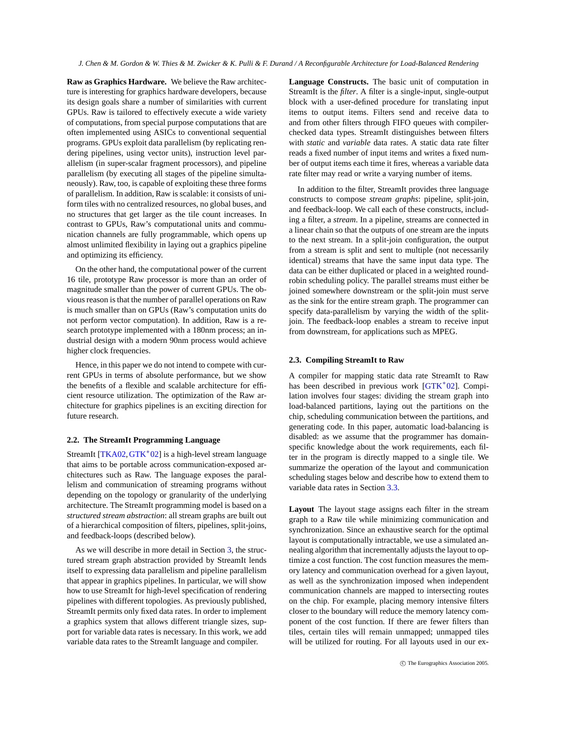<span id="page-3-1"></span>**Raw as Graphics Hardware.** We believe the Raw architecture is interesting for graphics hardware developers, because its design goals share a number of similarities with current GPUs. Raw is tailored to effectively execute a wide variety of computations, from special purpose computations that are often implemented using ASICs to conventional sequential programs. GPUs exploit data parallelism (by replicating rendering pipelines, using vector units), instruction level parallelism (in super-scalar fragment processors), and pipeline parallelism (by executing all stages of the pipeline simultaneously). Raw, too, is capable of exploiting these three forms of parallelism. In addition, Raw is scalable: it consists of uniform tiles with no centralized resources, no global buses, and no structures that get larger as the tile count increases. In contrast to GPUs, Raw's computational units and communication channels are fully programmable, which opens up almost unlimited flexibility in laying out a graphics pipeline and optimizing its efficiency.

On the other hand, the computational power of the current 16 tile, prototype Raw processor is more than an order of magnitude smaller than the power of current GPUs. The obvious reason is that the number of parallel operations on Raw is much smaller than on GPUs (Raw's computation units do not perform vector computation). In addition, Raw is a research prototype implemented with a 180nm process; an industrial design with a modern 90nm process would achieve higher clock frequencies.

Hence, in this paper we do not intend to compete with current GPUs in terms of absolute performance, but we show the benefits of a flexible and scalable architecture for efficient resource utilization. The optimization of the Raw architecture for graphics pipelines is an exciting direction for future research.

#### <span id="page-3-0"></span>**2.2. The StreamIt Programming Language**

StreamIt [\[TKA02,](#page-9-18) [GTK](#page-9-1)<sup>\*</sup>02] is a high-level stream language that aims to be portable across communication-exposed architectures such as Raw. The language exposes the parallelism and communication of streaming programs without depending on the topology or granularity of the underlying architecture. The StreamIt programming model is based on a *structured stream abstraction*: all stream graphs are built out of a hierarchical composition of filters, pipelines, split-joins, and feedback-loops (described below).

As we will describe in more detail in Section [3,](#page-4-0) the structured stream graph abstraction provided by StreamIt lends itself to expressing data parallelism and pipeline parallelism that appear in graphics pipelines. In particular, we will show how to use StreamIt for high-level specification of rendering pipelines with different topologies. As previously published, StreamIt permits only fixed data rates. In order to implement a graphics system that allows different triangle sizes, support for variable data rates is necessary. In this work, we add variable data rates to the StreamIt language and compiler.

**Language Constructs.** The basic unit of computation in StreamIt is the *filter*. A filter is a single-input, single-output block with a user-defined procedure for translating input items to output items. Filters send and receive data to and from other filters through FIFO queues with compilerchecked data types. StreamIt distinguishes between filters with *static* and *variable* data rates. A static data rate filter reads a fixed number of input items and writes a fixed number of output items each time it fires, whereas a variable data rate filter may read or write a varying number of items.

In addition to the filter, StreamIt provides three language constructs to compose *stream graphs*: pipeline, split-join, and feedback-loop. We call each of these constructs, including a filter, a *stream*. In a pipeline, streams are connected in a linear chain so that the outputs of one stream are the inputs to the next stream. In a split-join configuration, the output from a stream is split and sent to multiple (not necessarily identical) streams that have the same input data type. The data can be either duplicated or placed in a weighted roundrobin scheduling policy. The parallel streams must either be joined somewhere downstream or the split-join must serve as the sink for the entire stream graph. The programmer can specify data-parallelism by varying the width of the splitjoin. The feedback-loop enables a stream to receive input from downstream, for applications such as MPEG.

#### **2.3. Compiling StreamIt to Raw**

A compiler for mapping static data rate StreamIt to Raw has been described in previous work [\[GTK](#page-9-1)<sup>∗</sup>02]. Compilation involves four stages: dividing the stream graph into load-balanced partitions, laying out the partitions on the chip, scheduling communication between the partitions, and generating code. In this paper, automatic load-balancing is disabled: as we assume that the programmer has domainspecific knowledge about the work requirements, each filter in the program is directly mapped to a single tile. We summarize the operation of the layout and communication scheduling stages below and describe how to extend them to variable data rates in Section [3.3.](#page-5-0)

**Layout** The layout stage assigns each filter in the stream graph to a Raw tile while minimizing communication and synchronization. Since an exhaustive search for the optimal layout is computationally intractable, we use a simulated annealing algorithm that incrementally adjusts the layout to optimize a cost function. The cost function measures the memory latency and communication overhead for a given layout, as well as the synchronization imposed when independent communication channels are mapped to intersecting routes on the chip. For example, placing memory intensive filters closer to the boundary will reduce the memory latency component of the cost function. If there are fewer filters than tiles, certain tiles will remain unmapped; unmapped tiles will be utilized for routing. For all layouts used in our ex-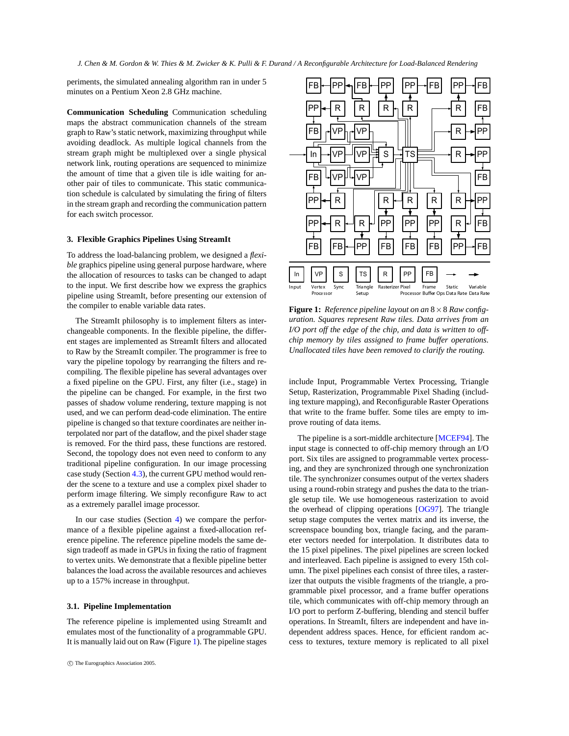<span id="page-4-2"></span>periments, the simulated annealing algorithm ran in under 5 minutes on a Pentium Xeon 2.8 GHz machine.

**Communication Scheduling** Communication scheduling maps the abstract communication channels of the stream graph to Raw's static network, maximizing throughput while avoiding deadlock. As multiple logical channels from the stream graph might be multiplexed over a single physical network link, routing operations are sequenced to minimize the amount of time that a given tile is idle waiting for another pair of tiles to communicate. This static communication schedule is calculated by simulating the firing of filters in the stream graph and recording the communication pattern for each switch processor.

#### <span id="page-4-0"></span>**3. Flexible Graphics Pipelines Using StreamIt**

To address the load-balancing problem, we designed a *flexible* graphics pipeline using general purpose hardware, where the allocation of resources to tasks can be changed to adapt to the input. We first describe how we express the graphics pipeline using StreamIt, before presenting our extension of the compiler to enable variable data rates.

The StreamIt philosophy is to implement filters as interchangeable components. In the flexible pipeline, the different stages are implemented as StreamIt filters and allocated to Raw by the StreamIt compiler. The programmer is free to vary the pipeline topology by rearranging the filters and recompiling. The flexible pipeline has several advantages over a fixed pipeline on the GPU. First, any filter (i.e., stage) in the pipeline can be changed. For example, in the first two passes of shadow volume rendering, texture mapping is not used, and we can perform dead-code elimination. The entire pipeline is changed so that texture coordinates are neither interpolated nor part of the dataflow, and the pixel shader stage is removed. For the third pass, these functions are restored. Second, the topology does not even need to conform to any traditional pipeline configuration. In our image processing case study (Section [4.3\)](#page-7-0), the current GPU method would render the scene to a texture and use a complex pixel shader to perform image filtering. We simply reconfigure Raw to act as a extremely parallel image processor.

In our case studies (Section [4\)](#page-6-0) we compare the performance of a flexible pipeline against a fixed-allocation reference pipeline. The reference pipeline models the same design tradeoff as made in GPUs in fixing the ratio of fragment to vertex units. We demonstrate that a flexible pipeline better balances the load across the available resources and achieves up to a 157% increase in throughput.

## **3.1. Pipeline Implementation**

The reference pipeline is implemented using StreamIt and emulates most of the functionality of a programmable GPU. It is manually laid out on Raw (Figure [1\)](#page-4-1). The pipeline stages



<span id="page-4-1"></span>**Figure 1:** *Reference pipeline layout on an* 8×8 *Raw configuration. Squares represent Raw tiles. Data arrives from an I/O port off the edge of the chip, and data is written to offchip memory by tiles assigned to frame buffer operations. Unallocated tiles have been removed to clarify the routing.*

include Input, Programmable Vertex Processing, Triangle Setup, Rasterization, Programmable Pixel Shading (including texture mapping), and Reconfigurable Raster Operations that write to the frame buffer. Some tiles are empty to improve routing of data items.

The pipeline is a sort-middle architecture [\[MCEF94\]](#page-9-19). The input stage is connected to off-chip memory through an I/O port. Six tiles are assigned to programmable vertex processing, and they are synchronized through one synchronization tile. The synchronizer consumes output of the vertex shaders using a round-robin strategy and pushes the data to the triangle setup tile. We use homogeneous rasterization to avoid the overhead of clipping operations [\[OG97\]](#page-9-20). The triangle setup stage computes the vertex matrix and its inverse, the screenspace bounding box, triangle facing, and the parameter vectors needed for interpolation. It distributes data to the 15 pixel pipelines. The pixel pipelines are screen locked and interleaved. Each pipeline is assigned to every 15th column. The pixel pipelines each consist of three tiles, a rasterizer that outputs the visible fragments of the triangle, a programmable pixel processor, and a frame buffer operations tile, which communicates with off-chip memory through an I/O port to perform Z-buffering, blending and stencil buffer operations. In StreamIt, filters are independent and have independent address spaces. Hence, for efficient random access to textures, texture memory is replicated to all pixel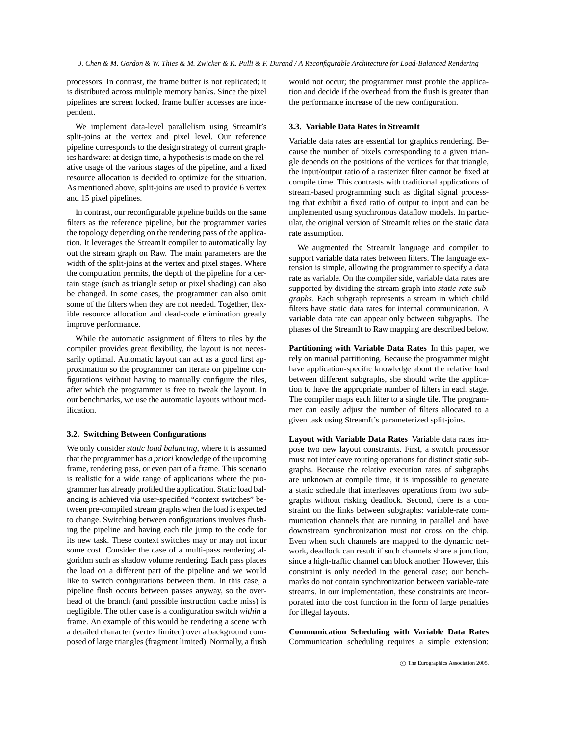processors. In contrast, the frame buffer is not replicated; it is distributed across multiple memory banks. Since the pixel pipelines are screen locked, frame buffer accesses are independent.

We implement data-level parallelism using StreamIt's split-joins at the vertex and pixel level. Our reference pipeline corresponds to the design strategy of current graphics hardware: at design time, a hypothesis is made on the relative usage of the various stages of the pipeline, and a fixed resource allocation is decided to optimize for the situation. As mentioned above, split-joins are used to provide 6 vertex and 15 pixel pipelines.

In contrast, our reconfigurable pipeline builds on the same filters as the reference pipeline, but the programmer varies the topology depending on the rendering pass of the application. It leverages the StreamIt compiler to automatically lay out the stream graph on Raw. The main parameters are the width of the split-joins at the vertex and pixel stages. Where the computation permits, the depth of the pipeline for a certain stage (such as triangle setup or pixel shading) can also be changed. In some cases, the programmer can also omit some of the filters when they are not needed. Together, flexible resource allocation and dead-code elimination greatly improve performance.

While the automatic assignment of filters to tiles by the compiler provides great flexibility, the layout is not necessarily optimal. Automatic layout can act as a good first approximation so the programmer can iterate on pipeline configurations without having to manually configure the tiles, after which the programmer is free to tweak the layout. In our benchmarks, we use the automatic layouts without modification.

# **3.2. Switching Between Configurations**

We only consider *static load balancing*, where it is assumed that the programmer has *a priori* knowledge of the upcoming frame, rendering pass, or even part of a frame. This scenario is realistic for a wide range of applications where the programmer has already profiled the application. Static load balancing is achieved via user-specified "context switches" between pre-compiled stream graphs when the load is expected to change. Switching between configurations involves flushing the pipeline and having each tile jump to the code for its new task. These context switches may or may not incur some cost. Consider the case of a multi-pass rendering algorithm such as shadow volume rendering. Each pass places the load on a different part of the pipeline and we would like to switch configurations between them. In this case, a pipeline flush occurs between passes anyway, so the overhead of the branch (and possible instruction cache miss) is negligible. The other case is a configuration switch *within* a frame. An example of this would be rendering a scene with a detailed character (vertex limited) over a background composed of large triangles (fragment limited). Normally, a flush

would not occur; the programmer must profile the application and decide if the overhead from the flush is greater than the performance increase of the new configuration.

#### <span id="page-5-0"></span>**3.3. Variable Data Rates in StreamIt**

Variable data rates are essential for graphics rendering. Because the number of pixels corresponding to a given triangle depends on the positions of the vertices for that triangle, the input/output ratio of a rasterizer filter cannot be fixed at compile time. This contrasts with traditional applications of stream-based programming such as digital signal processing that exhibit a fixed ratio of output to input and can be implemented using synchronous dataflow models. In particular, the original version of StreamIt relies on the static data rate assumption.

We augmented the StreamIt language and compiler to support variable data rates between filters. The language extension is simple, allowing the programmer to specify a data rate as variable. On the compiler side, variable data rates are supported by dividing the stream graph into *static-rate subgraphs*. Each subgraph represents a stream in which child filters have static data rates for internal communication. A variable data rate can appear only between subgraphs. The phases of the StreamIt to Raw mapping are described below.

**Partitioning with Variable Data Rates** In this paper, we rely on manual partitioning. Because the programmer might have application-specific knowledge about the relative load between different subgraphs, she should write the application to have the appropriate number of filters in each stage. The compiler maps each filter to a single tile. The programmer can easily adjust the number of filters allocated to a given task using StreamIt's parameterized split-joins.

**Layout with Variable Data Rates** Variable data rates impose two new layout constraints. First, a switch processor must not interleave routing operations for distinct static subgraphs. Because the relative execution rates of subgraphs are unknown at compile time, it is impossible to generate a static schedule that interleaves operations from two subgraphs without risking deadlock. Second, there is a constraint on the links between subgraphs: variable-rate communication channels that are running in parallel and have downstream synchronization must not cross on the chip. Even when such channels are mapped to the dynamic network, deadlock can result if such channels share a junction, since a high-traffic channel can block another. However, this constraint is only needed in the general case; our benchmarks do not contain synchronization between variable-rate streams. In our implementation, these constraints are incorporated into the cost function in the form of large penalties for illegal layouts.

**Communication Scheduling with Variable Data Rates** Communication scheduling requires a simple extension: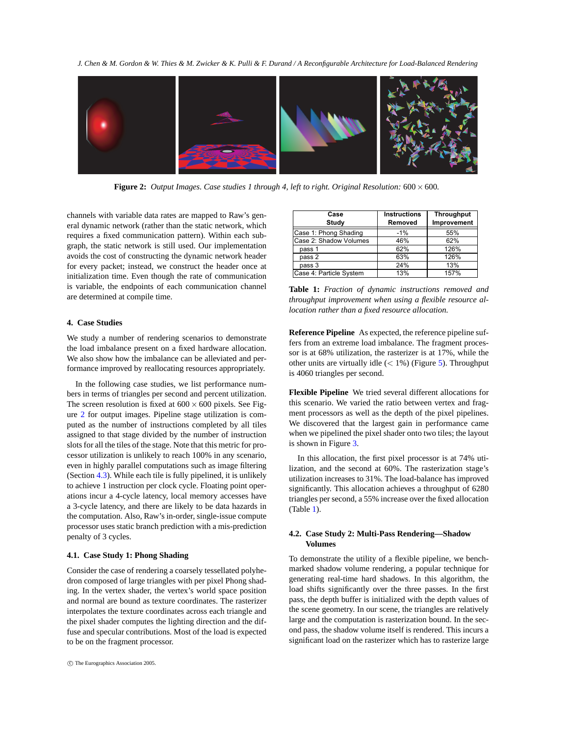J. Chen & M. Gordon & W. Thies & M. Zwicker & K. Pulli & F. Durand / A Reconfigurable Architecture for Load-Balanced Rendering



**Figure 2:** *Output Images. Case studies 1 through 4, left to right. Original Resolution:*  $600 \times 600$ *.* 

<span id="page-6-1"></span>channels with variable data rates are mapped to Raw's general dynamic network (rather than the static network, which requires a fixed communication pattern). Within each subgraph, the static network is still used. Our implementation avoids the cost of constructing the dynamic network header for every packet; instead, we construct the header once at initialization time. Even though the rate of communication is variable, the endpoints of each communication channel are determined at compile time.

## <span id="page-6-0"></span>**4. Case Studies**

We study a number of rendering scenarios to demonstrate the load imbalance present on a fixed hardware allocation. We also show how the imbalance can be alleviated and performance improved by reallocating resources appropriately.

In the following case studies, we list performance numbers in terms of triangles per second and percent utilization. The screen resolution is fixed at  $600 \times 600$  pixels. See Figure [2](#page-6-1) for output images. Pipeline stage utilization is computed as the number of instructions completed by all tiles assigned to that stage divided by the number of instruction slots for all the tiles of the stage. Note that this metric for processor utilization is unlikely to reach 100% in any scenario, even in highly parallel computations such as image filtering (Section [4.3\)](#page-7-0). While each tile is fully pipelined, it is unlikely to achieve 1 instruction per clock cycle. Floating point operations incur a 4-cycle latency, local memory accesses have a 3-cycle latency, and there are likely to be data hazards in the computation. Also, Raw's in-order, single-issue compute processor uses static branch prediction with a mis-prediction penalty of 3 cycles.

## **4.1. Case Study 1: Phong Shading**

Consider the case of rendering a coarsely tessellated polyhedron composed of large triangles with per pixel Phong shading. In the vertex shader, the vertex's world space position and normal are bound as texture coordinates. The rasterizer interpolates the texture coordinates across each triangle and the pixel shader computes the lighting direction and the diffuse and specular contributions. Most of the load is expected to be on the fragment processor.

| Case<br>Study           | <b>Instructions</b><br>Removed | <b>Throughput</b><br>Improvement |
|-------------------------|--------------------------------|----------------------------------|
| Case 1: Phong Shading   | $-1%$                          | 55%                              |
| Case 2: Shadow Volumes  | 46%                            | 62%                              |
| pass 1                  | 62%                            | 126%                             |
| pass 2                  | 63%                            | 126%                             |
| pass 3                  | 24%                            | 13%                              |
| Case 4: Particle System | 13%                            | 157%                             |

<span id="page-6-2"></span>**Table 1:** *Fraction of dynamic instructions removed and throughput improvement when using a flexible resource allocation rather than a fixed resource allocation.*

**Reference Pipeline** As expected, the reference pipeline suffers from an extreme load imbalance. The fragment processor is at 68% utilization, the rasterizer is at 17%, while the other units are virtually idle  $(< 1\%)$  (Figure [5\)](#page-10-0). Throughput is 4060 triangles per second.

**Flexible Pipeline** We tried several different allocations for this scenario. We varied the ratio between vertex and fragment processors as well as the depth of the pixel pipelines. We discovered that the largest gain in performance came when we pipelined the pixel shader onto two tiles; the layout is shown in Figure [3.](#page-7-1)

In this allocation, the first pixel processor is at 74% utilization, and the second at 60%. The rasterization stage's utilization increases to 31%. The load-balance has improved significantly. This allocation achieves a throughput of 6280 triangles per second, a 55% increase over the fixed allocation (Table [1\)](#page-6-2).

## **4.2. Case Study 2: Multi-Pass Rendering—Shadow Volumes**

To demonstrate the utility of a flexible pipeline, we benchmarked shadow volume rendering, a popular technique for generating real-time hard shadows. In this algorithm, the load shifts significantly over the three passes. In the first pass, the depth buffer is initialized with the depth values of the scene geometry. In our scene, the triangles are relatively large and the computation is rasterization bound. In the second pass, the shadow volume itself is rendered. This incurs a significant load on the rasterizer which has to rasterize large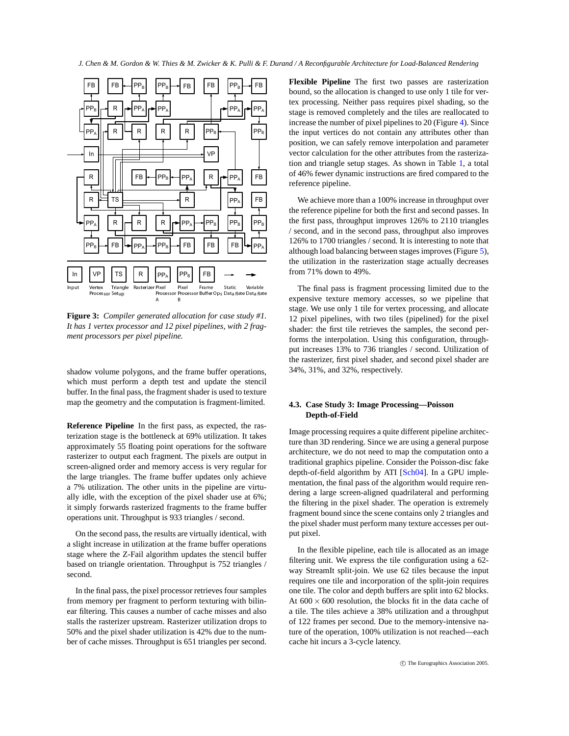J. Chen & M. Gordon & W. Thies & M. Zwicker & K. Pulli & F. Durand / A Reconfigurable Architecture for Load-Balanced Rendering

<span id="page-7-2"></span>

<span id="page-7-1"></span>Figure 3: Compiler generated allocation for case study #1. It has 1 vertex processor and 12 pixel pipelines, with 2 fragment processors per pixel pipeline.

shadow volume polygons, and the frame buffer operations, which must perform a depth test and update the stencil buffer. In the final pass, the fragment shader is used to texture map the geometry and the computation is fragment-limited.

Reference Pipeline In the first pass, as expected, the rasterization stage is the bottleneck at 69% utilization. It takes approximately 55 floating point operations for the software rasterizer to output each fragment. The pixels are output in screen-aligned order and memory access is very regular for the large triangles. The frame buffer updates only achieve a 7% utilization. The other units in the pipeline are virtually idle, with the exception of the pixel shader use at 6%; it simply forwards rasterized fragments to the frame buffer operations unit. Throughput is 933 triangles / second.

On the second pass, the results are virtually identical, with a slight increase in utilization at the frame buffer operations stage where the Z-Fail algorithm updates the stencil buffer based on triangle orientation. Throughput is 752 triangles / second.

In the final pass, the pixel processor retrieves four samples from memory per fragment to perform texturing with bilinear filtering. This causes a number of cache misses and also stalls the rasterizer upstream. Rasterizer utilization drops to 50% and the pixel shader utilization is 42% due to the number of cache misses. Throughput is 651 triangles per second.

Flexible Pipeline The first two passes are rasterization bound, so the allocation is changed to use only 1 tile for vertex processing. Neither pass requires pixel shading, so the stage is removed completely and the tiles are reallocated to increase the number of pixel pipelines to 20 (Figure 4). Since the input vertices do not contain any attributes other than position, we can safely remove interpolation and parameter vector calculation for the other attributes from the rasterization and triangle setup stages. As shown in Table 1, a total of 46% fewer dynamic instructions are fired compared to the reference pipeline.

We achieve more than a 100% increase in throughput over the reference pipeline for both the first and second passes. In the first pass, throughput improves 126% to 2110 triangles / second, and in the second pass, throughput also improves 126% to 1700 triangles / second. It is interesting to note that although load balancing between stages improves (Figure 5), the utilization in the rasterization stage actually decreases from 71% down to 49%.

The final pass is fragment processing limited due to the expensive texture memory accesses, so we pipeline that stage. We use only 1 tile for vertex processing, and allocate 12 pixel pipelines, with two tiles (pipelined) for the pixel shader: the first tile retrieves the samples, the second performs the interpolation. Using this configuration, throughput increases 13% to 736 triangles / second. Utilization of the rasterizer, first pixel shader, and second pixel shader are 34%, 31%, and 32%, respectively.

# <span id="page-7-0"></span>4.3. Case Study 3: Image Processing-Poisson Depth-of-Field

Image processing requires a quite different pipeline architecture than 3D rendering. Since we are using a general purpose architecture, we do not need to map the computation onto a traditional graphics pipeline. Consider the Poisson-disc fake depth-of-field algorithm by ATI [Sch04]. In a GPU implementation, the final pass of the algorithm would require rendering a large screen-aligned quadrilateral and performing the filtering in the pixel shader. The operation is extremely fragment bound since the scene contains only 2 triangles and the pixel shader must perform many texture accesses per output pixel.

In the flexible pipeline, each tile is allocated as an image filtering unit. We express the tile configuration using a 62way StreamIt split-join. We use 62 tiles because the input requires one tile and incorporation of the split-join requires one tile. The color and depth buffers are split into 62 blocks. At  $600 \times 600$  resolution, the blocks fit in the data cache of a tile. The tiles achieve a 38% utilization and a throughput of 122 frames per second. Due to the memory-intensive nature of the operation, 100% utilization is not reached—each cache hit incurs a 3-cycle latency.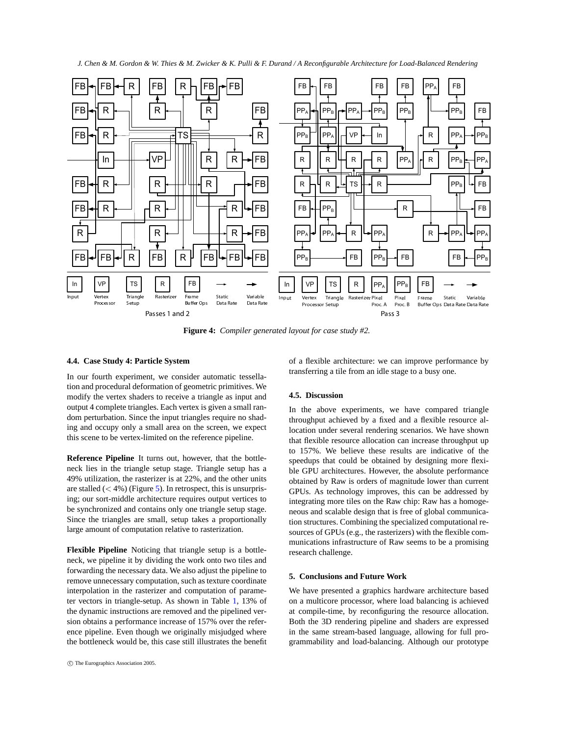J. Chen & M. Gordon & W. Thies & M. Zwicker & K. Pulli & F. Durand / A Reconfigurable Architecture for Load-Balanced Rendering



<span id="page-8-0"></span>Figure 4: Compiler generated layout for case study #2.

#### 4.4. Case Study 4: Particle System

In our fourth experiment, we consider automatic tessellation and procedural deformation of geometric primitives. We modify the vertex shaders to receive a triangle as input and output 4 complete triangles. Each vertex is given a small random perturbation. Since the input triangles require no shading and occupy only a small area on the screen, we expect this scene to be vertex-limited on the reference pipeline.

Reference Pipeline It turns out, however, that the bottleneck lies in the triangle setup stage. Triangle setup has a 49% utilization, the rasterizer is at 22%, and the other units are stalled  $(< 4\%)$  (Figure 5). In retrospect, this is unsurprising; our sort-middle architecture requires output vertices to be synchronized and contains only one triangle setup stage. Since the triangles are small, setup takes a proportionally large amount of computation relative to rasterization.

Flexible Pipeline Noticing that triangle setup is a bottleneck, we pipeline it by dividing the work onto two tiles and forwarding the necessary data. We also adjust the pipeline to remove unnecessary computation, such as texture coordinate interpolation in the rasterizer and computation of parameter vectors in triangle-setup. As shown in Table 1, 13% of the dynamic instructions are removed and the pipelined version obtains a performance increase of 157% over the reference pipeline. Even though we originally misjudged where the bottleneck would be, this case still illustrates the benefit of a flexible architecture: we can improve performance by transferring a tile from an idle stage to a busy one.

## 4.5. Discussion

In the above experiments, we have compared triangle throughput achieved by a fixed and a flexible resource allocation under several rendering scenarios. We have shown that flexible resource allocation can increase throughput up to 157%. We believe these results are indicative of the speedups that could be obtained by designing more flexible GPU architectures. However, the absolute performance obtained by Raw is orders of magnitude lower than current GPUs. As technology improves, this can be addressed by integrating more tiles on the Raw chip: Raw has a homogeneous and scalable design that is free of global communication structures. Combining the specialized computational resources of GPUs (e.g., the rasterizers) with the flexible communications infrastructure of Raw seems to be a promising research challenge.

# 5. Conclusions and Future Work

We have presented a graphics hardware architecture based on a multicore processor, where load balancing is achieved at compile-time, by reconfiguring the resource allocation. Both the 3D rendering pipeline and shaders are expressed in the same stream-based language, allowing for full programmability and load-balancing. Although our prototype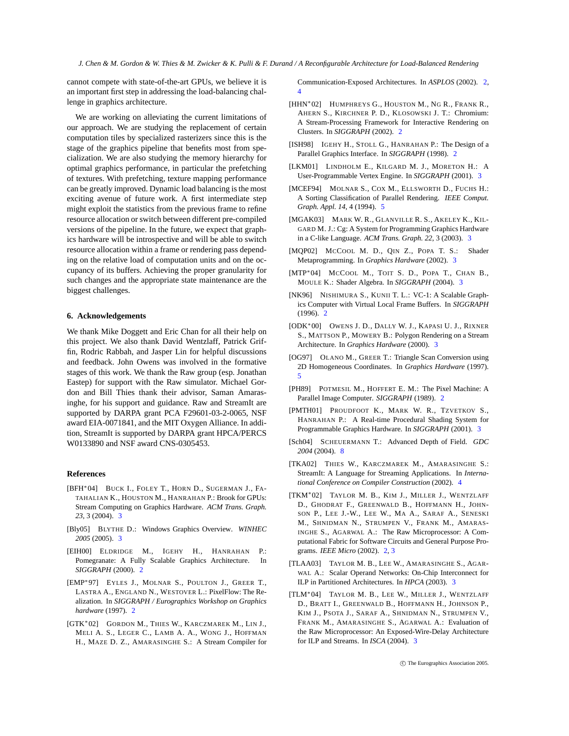cannot compete with state-of-the-art GPUs, we believe it is an important first step in addressing the load-balancing challenge in graphics architecture.

We are working on alleviating the current limitations of our approach. We are studying the replacement of certain computation tiles by specialized rasterizers since this is the stage of the graphics pipeline that benefits most from specialization. We are also studying the memory hierarchy for optimal graphics performance, in particular the prefetching of textures. With prefetching, texture mapping performance can be greatly improved. Dynamic load balancing isthe most exciting avenue of future work. A first intermediate step might exploit the statistics from the previous frame to refine resource allocation orswitch between different pre-compiled versions of the pipeline. In the future, we expect that graphics hardware will be introspective and will be able to switch resource allocation within a frame or rendering pass depending on the relative load of computation units and on the occupancy of its buffers. Achieving the proper granularity for such changes and the appropriate state maintenance are the biggest challenges.

## **6. Acknowledgements**

We thank Mike Doggett and Eric Chan for all their help on this project. We also thank David Wentzlaff, Patrick Griffin, Rodric Rabbah, and Jasper Lin for helpful discussions and feedback. John Owens was involved in the formative stages of this work. We thank the Raw group (esp. Jonathan Eastep) for support with the Raw simulator. Michael Gordon and Bill Thies thank their advisor, Saman Amarasinghe, for his support and guidance. Raw and StreamIt are supported by DARPA grant PCA F29601-03-2-0065, NSF award EIA-0071841, and the MIT Oxygen Alliance. In addition, StreamIt is supported by DARPA grant HPCA/PERCS W0133890 and NSF award CNS-0305453.

# **References**

- <span id="page-9-12"></span>[BFH∗04] BUCK I., FOLEY T., HORN D., SUGERMAN J., FA-TAHALIAN K., HOUSTON M., HANRAHAN P.: Brook for GPUs: Stream Computing on Graphics Hardware. *ACM Trans. Graph. 23*, 3 (2004). [3](#page-2-2)
- <span id="page-9-15"></span>[Bly05] BLYTHE D.: Windows Graphics Overview. *WINHEC 2005* (2005). [3](#page-2-2)
- <span id="page-9-3"></span>[EIH00] ELDRIDGE M., IGEHY H., HANRAHAN P.: Pomegranate: A Fully Scalable Graphics Architecture. In *SIGGRAPH* (2000). [2](#page-1-1)
- <span id="page-9-6"></span>[EMP∗97] EYLES J., MOLNAR S., POULTON J., GREER T., LASTRA A., ENGLAND N., WESTOVER L.: PixelFlow: The Realization. In *SIGGRAPH / Eurographics Workshop on Graphics hardware* (1997). [2](#page-1-1)
- <span id="page-9-1"></span>[GTK∗02] GORDON M., THIES W., KARCZMAREK M., LIN J., MELI A. S., LEGER C., LAMB A. A., WONG J., HOFFMAN H., MAZE D. Z., AMARASINGHE S.: A Stream Compiler for

Communication-Exposed Architectures. In *ASPLOS* (2002). [2,](#page-1-1) [4](#page-3-1)

- <span id="page-9-5"></span>[HHN∗02] HUMPHREYS G., HOUSTON M., N<sup>G</sup> R., FRANK R., AHERN S., KIRCHNER P. D., KLOSOWSKI J. T.: Chromium: A Stream-Processing Framework for Interactive Rendering on Clusters. In *SIGGRAPH* (2002). [2](#page-1-1)
- <span id="page-9-2"></span>[ISH98] IGEHY H., STOLL G., HANRAHAN P.: The Design of a Parallel Graphics Interface. In *SIGGRAPH* (1998). [2](#page-1-1)
- <span id="page-9-8"></span>[LKM01] LINDHOLM E., KILGARD M. J., MORETON H.: A User-Programmable Vertex Engine. In *SIGGRAPH* (2001). [3](#page-2-2)
- <span id="page-9-19"></span>[MCEF94] MOLNAR S., COX M., ELLSWORTH D., FUCHS H.: A Sorting Classification of Parallel Rendering. *IEEE Comput. Graph. Appl. 14*, 4 (1994). [5](#page-4-2)
- <span id="page-9-10"></span>[MGAK03] MARK W. R., GLANVILLE R. S., AKELEY K., KIL-GARD M. J.: Cg: A System for Programming Graphics Hardware in a C-like Language. *ACM Trans. Graph. 22*, 3 (2003). [3](#page-2-2)
- <span id="page-9-11"></span>[MQP02] MCCOOL M. D., QIN Z., POPA T. S.: Shader Metaprogramming. In *Graphics Hardware* (2002). [3](#page-2-2)
- <span id="page-9-14"></span>[MTP∗04] MCCOOL M., TOIT S. D., POPA T., CHAN B., MOULE K.: Shader Algebra. In *SIGGRAPH* (2004). [3](#page-2-2)
- <span id="page-9-4"></span>[NK96] NISHIMURA S., KUNII T. L.: VC-1: A Scalable Graphics Computer with Virtual Local Frame Buffers. In *SIGGRAPH* (1996). [2](#page-1-1)
- <span id="page-9-13"></span>[ODK∗00] OWENS J. D., DALLY W. J., KAPASI U. J., RIXNER S., MATTSON P., MOWERY B.: Polygon Rendering on a Stream Architecture. In *Graphics Hardware* (2000). [3](#page-2-2)
- <span id="page-9-20"></span>[OG97] OLANO M., GREER T.: Triangle Scan Conversion using 2D Homogeneous Coordinates. In *Graphics Hardware* (1997). [5](#page-4-2)
- <span id="page-9-7"></span>[PH89] POTMESIL M., HOFFERT E. M.: The Pixel Machine: A Parallel Image Computer. *SIGGRAPH* (1989). [2](#page-1-1)
- <span id="page-9-9"></span>[PMTH01] PROUDFOOT K., MARK W. R., TZVETKOV S., HANRAHAN P.: A Real-time Procedural Shading System for Programmable Graphics Hardware. In *SIGGRAPH* (2001). [3](#page-2-2)
- <span id="page-9-21"></span>[Sch04] SCHEUERMANN T.: Advanced Depth of Field. *GDC 2004* (2004). [8](#page-7-2)
- <span id="page-9-18"></span>[TKA02] THIES W., KARCZMAREK M., AMARASINGHE S.: StreamIt: A Language for Streaming Applications. In *International Conference on Compiler Construction* (2002). [4](#page-3-1)
- <span id="page-9-0"></span>[TKM∗02] TAYLOR M. B., KIM J., MILLER J., WENTZLAFF D., GHODRAT F., GREENWALD B., HOFFMANN H., JOHN-SON P., LEE J.-W., LEE W., MA A., SARAF A., SENESKI M., SHNIDMAN N., STRUMPEN V., FRANK M., AMARAS-INGHE S., AGARWAL A.: The Raw Microprocessor: A Computational Fabric for Software Circuits and General Purpose Programs. *IEEE Micro* (2002). [2,](#page-1-1) [3](#page-2-2)
- <span id="page-9-17"></span>[TLAA03] TAYLOR M. B., LEE W., AMARASINGHE S., AGAR-WAL A.: Scalar Operand Networks: On-Chip Interconnect for ILP in Partitioned Architectures. In *HPCA* (2003). [3](#page-2-2)
- <span id="page-9-16"></span>[TLM∗04] TAYLOR M. B., LEE W., MILLER J., WENTZLAFF D., BRATT I., GREENWALD B., HOFFMANN H., JOHNSON P., KIM J., PSOTA J., SARAF A., SHNIDMAN N., STRUMPEN V., FRANK M., AMARASINGHE S., AGARWAL A.: Evaluation of the Raw Microprocessor: An Exposed-Wire-Delay Architecture for ILP and Streams. In *ISCA* (2004). [3](#page-2-2)